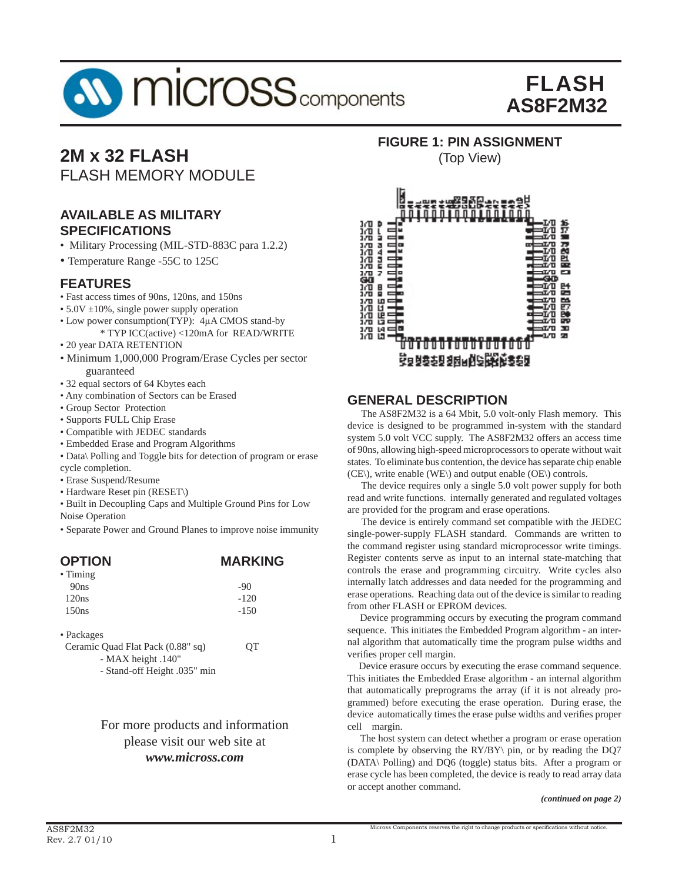

# **2M x 32 FLASH**

FLASH MEMORY MODULE

#### **AVAILABLE AS MILITARY SPECIFICATIONS**

- Military Processing (MIL-STD-883C para 1.2.2)
- Temperature Range -55C to 125C

#### **FEATURES**

- Fast access times of 90ns, 120ns, and 150ns
- $5.0V \pm 10\%$ , single power supply operation
- Low power consumption(TYP): 4μA CMOS stand-by
- \* TYP ICC(active) <120mA for READ/WRITE • 20 year DATA RETENTION
- Minimum 1,000,000 Program/Erase Cycles per sector guaranteed
- 32 equal sectors of 64 Kbytes each
- Any combination of Sectors can be Erased
- Group Sector Protection
- Supports FULL Chip Erase
- Compatible with JEDEC standards
- Embedded Erase and Program Algorithms
- Data\ Polling and Toggle bits for detection of program or erase cycle completion.
- Erase Suspend/Resume
- Hardware Reset pin (RESET\)
- Built in Decoupling Caps and Multiple Ground Pins for Low Noise Operation
- Separate Power and Ground Planes to improve noise immunity

| <b>OPTION</b>                     | <b>MARKING</b> |
|-----------------------------------|----------------|
| $\bullet$ Timing                  |                |
| 90ns                              | -90            |
| 120ns                             | $-120$         |
| 150ns                             | $-150$         |
| • Packages                        |                |
| Ceramic Quad Flat Pack (0.88" sq) | OТ             |
| - MAX height .140"                |                |
| $Grand off Loid (025" min)$       |                |

- Stand-off Height .035" min

#### For more products and information please visit our web site at *www.micross.com*

**FIGURE 1: PIN ASSIGNMENT**

(Top View)



#### **GENERAL DESCRIPTION**

 The AS8F2M32 is a 64 Mbit, 5.0 volt-only Flash memory. This device is designed to be programmed in-system with the standard system 5.0 volt VCC supply. The AS8F2M32 offers an access time of 90ns, allowing high-speed microprocessors to operate without wait states. To eliminate bus contention, the device has separate chip enable (CE\), write enable (WE\) and output enable (OE\) controls.

 The device requires only a single 5.0 volt power supply for both read and write functions. internally generated and regulated voltages are provided for the program and erase operations.

 The device is entirely command set compatible with the JEDEC single-power-supply FLASH standard. Commands are written to the command register using standard microprocessor write timings. Register contents serve as input to an internal state-matching that controls the erase and programming circuitry. Write cycles also internally latch addresses and data needed for the programming and erase operations. Reaching data out of the device is similar to reading from other FLASH or EPROM devices.

 Device programming occurs by executing the program command sequence. This initiates the Embedded Program algorithm - an internal algorithm that automatically time the program pulse widths and verifies proper cell margin.

 Device erasure occurs by executing the erase command sequence. This initiates the Embedded Erase algorithm - an internal algorithm that automatically preprograms the array (if it is not already programmed) before executing the erase operation. During erase, the device automatically times the erase pulse widths and verifies proper cell margin.

 The host system can detect whether a program or erase operation is complete by observing the RY/BY\ pin, or by reading the DQ7 (DATA\ Polling) and DQ6 (toggle) status bits. After a program or erase cycle has been completed, the device is ready to read array data or accept another command.

*(continued on page 2)*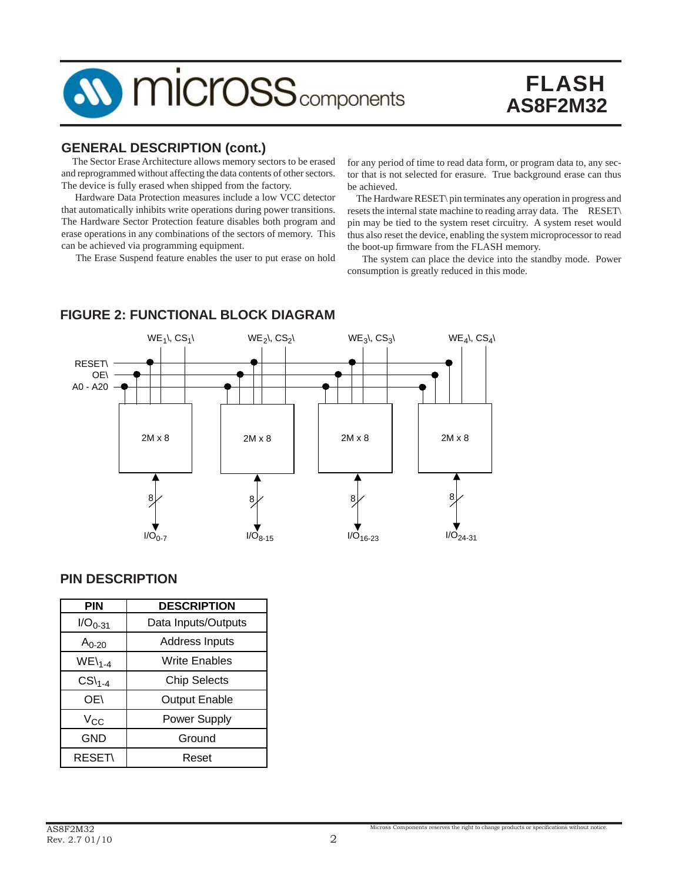

#### **GENERAL DESCRIPTION (cont.)**

 The Sector Erase Architecture allows memory sectors to be erased and reprogrammed without affecting the data contents of other sectors. The device is fully erased when shipped from the factory.

 Hardware Data Protection measures include a low VCC detector that automatically inhibits write operations during power transitions. The Hardware Sector Protection feature disables both program and erase operations in any combinations of the sectors of memory. This can be achieved via programming equipment.

The Erase Suspend feature enables the user to put erase on hold

for any period of time to read data form, or program data to, any sector that is not selected for erasure. True background erase can thus be achieved.

 The Hardware RESET\ pin terminates any operation in progress and resets the internal state machine to reading array data. The RESET\ pin may be tied to the system reset circuitry. A system reset would thus also reset the device, enabling the system microprocessor to read the boot-up firmware from the FLASH memory.

 The system can place the device into the standby mode. Power consumption is greatly reduced in this mode.

# $WE_1\setminus \text{CS}_1\setminus \text{WE}_2\setminus \text{CS}_2\setminus \text{WE}_3\setminus \text{CS}_3\setminus \text{WE}_4\setminus \text{CS}_4\setminus \text{CE}_4$ RESET\ OE\ A0 - A20 2M x 8 | | 2M x 8 | | 2M x 8 | | 2M x 8  $8 \times 8 \times 8$  $1/\overline{O}_{0.7}$   $1/\overline{O}_{8-15}$   $1/\overline{O}_{16-23}$   $1/\overline{O}_{24-31}$

#### **FIGURE 2: FUNCTIONAL BLOCK DIAGRAM**

#### **PIN DESCRIPTION**

| <b>PIN</b>                      | <b>DESCRIPTION</b>    |  |  |  |
|---------------------------------|-----------------------|--|--|--|
| $1/O_{0-31}$                    | Data Inputs/Outputs   |  |  |  |
| An-20                           | <b>Address Inputs</b> |  |  |  |
| $WE\setminus_{1-4}$             | Write Enables         |  |  |  |
| $CS\mathcal{C}S\mathcal{C}$ 1-4 | <b>Chip Selects</b>   |  |  |  |
| OE\                             | <b>Output Enable</b>  |  |  |  |
| $V_{CC}$                        | Power Supply          |  |  |  |
| GND                             | Ground                |  |  |  |
| <b>RESET\</b>                   | Reset                 |  |  |  |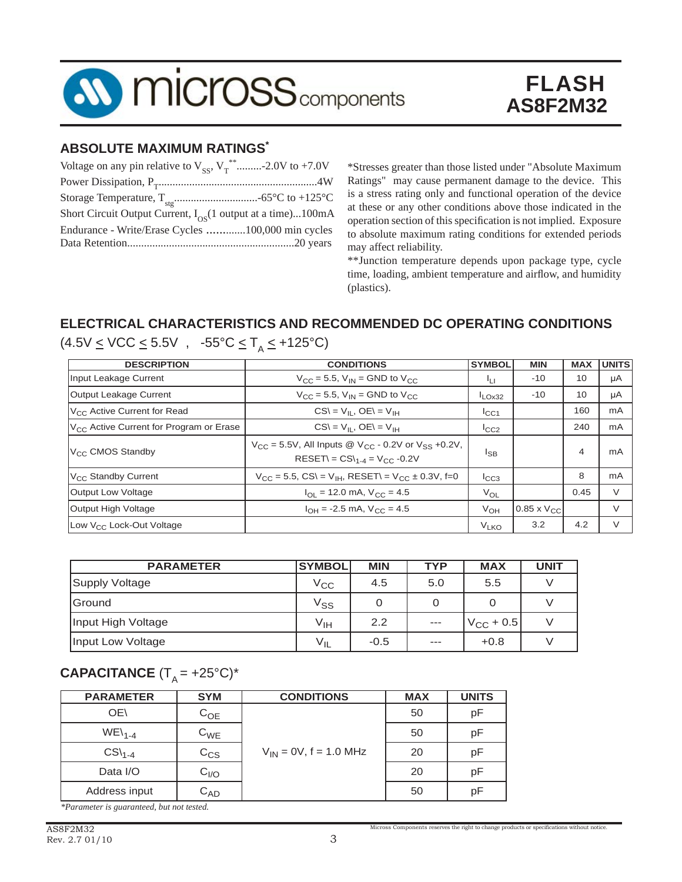

#### **ABSOLUTE MAXIMUM RATINGS\***

| Voltage on any pin relative to $V_{\rm ss}$ , $V_{\rm T}^{**}$ -2.0V to +7.0V |  |
|-------------------------------------------------------------------------------|--|
|                                                                               |  |
|                                                                               |  |
| Short Circuit Output Current, $I_{OS}(1)$ output at a time)100mA              |  |
| Endurance - Write/Erase Cycles 100,000 min cycles                             |  |
|                                                                               |  |

\*Stresses greater than those listed under "Absolute Maximum Ratings" may cause permanent damage to the device. This is a stress rating only and functional operation of the device at these or any other conditions above those indicated in the operation section of this specification is not implied. Exposure to absolute maximum rating conditions for extended periods may affect reliability.

\*\*Junction temperature depends upon package type, cycle time, loading, ambient temperature and airflow, and humidity (plastics).

### **ELECTRICAL CHARACTERISTICS AND RECOMMENDED DC OPERATING CONDITIONS**

| <b>DESCRIPTION</b>                                  | <b>CONDITIONS</b>                                                                                                                        | <b>SYMBOL</b>    | <b>MIN</b>           | <b>MAX</b> | <b>UNITS</b> |
|-----------------------------------------------------|------------------------------------------------------------------------------------------------------------------------------------------|------------------|----------------------|------------|--------------|
| Input Leakage Current                               | $V_{CC}$ = 5.5, $V_{IN}$ = GND to $V_{CC}$                                                                                               | ĪЦ               | $-10$                | 10         | μA           |
| Output Leakage Current                              | $V_{CC} = 5.5$ , $V_{IN} =$ GND to $V_{CC}$                                                                                              | $I_{LOX32}$      | $-10$                | 10         | μA           |
| V <sub>CC</sub> Active Current for Read             | $CS = V_{\rm II}$ , $OE = V_{\rm IH}$                                                                                                    | ICC1             |                      | 160        | mA           |
| V <sub>CC</sub> Active Current for Program or Erase | $CS = V_{\rm II}$ , $OE = V_{\rm IH}$                                                                                                    | $I_{CC2}$        |                      | 240        | mA           |
| V <sub>CC</sub> CMOS Standby                        | $V_{CC}$ = 5.5V, All Inputs @ V <sub>CC</sub> - 0.2V or V <sub>SS</sub> +0.2V,<br>RESET\ = $CS$ \ <sub>1-4</sub> = V <sub>CC</sub> -0.2V | <sup>I</sup> SB  |                      | 4          | mA           |
| $V_{CC}$ Standby Current                            | $V_{CC} = 5.5$ , CS\ = V <sub>IH</sub> , RESET\ = V <sub>CC</sub> ± 0.3V, f=0                                                            | $I_{CC3}$        |                      | 8          | mA           |
| Output Low Voltage                                  | $I_{\text{OL}}$ = 12.0 mA, $V_{\text{CC}}$ = 4.5                                                                                         | $V_{OL}$         |                      | 0.45       | $\vee$       |
| Output High Voltage                                 | $I_{OH}$ = -2.5 mA, $V_{CO}$ = 4.5                                                                                                       | $V_{OH}$         | $0.85 \times V_{CC}$ |            | V            |
| Low V <sub>CC</sub> Lock-Out Voltage                |                                                                                                                                          | V <sub>LKO</sub> | 3.2                  | 4.2        | $\vee$       |

 $(4.5V \leq VCC \leq 5.5V$ ,  $-55^{\circ}C \leq T_A \leq +125^{\circ}C)$ 

| <b>PARAMETER</b>   | <b>SYMBOL</b>              | <b>MIN</b> | <b>TYP</b>        | <b>MAX</b>         | <b>UNIT</b> |
|--------------------|----------------------------|------------|-------------------|--------------------|-------------|
| Supply Voltage     | $V_{\rm CC}$               | 4.5        | 5.0               | 5.5                |             |
| lGround            | $\mathsf{V}_{\mathsf{SS}}$ | O          | O                 |                    |             |
| Input High Voltage | V <sub>IH</sub>            | 2.2        | $\qquad \qquad -$ | $V_{\rm CC}$ + 0.5 |             |
| Input Low Voltage  | $V_{IL}$                   | $-0.5$     | $---$             | $+0.8$             |             |

#### **CAPACITANCE**  $(T_A = +25^{\circ}C)^*$

| <b>PARAMETER</b>            | <b>SYM</b>        | <b>CONDITIONS</b>           | <b>MAX</b> | <b>UNITS</b> |
|-----------------------------|-------------------|-----------------------------|------------|--------------|
| OE\                         | $C_{OE}$          |                             | 50         | pF           |
| $WE\setminus_{1-4}$         | $C_{WE}$          |                             | 50         | pF           |
| $CS\mathcal{C}S\mathcal{C}$ | $\mathrm{C_{CS}}$ | $V_{IN} = 0V$ , f = 1.0 MHz | 20         | рF           |
| Data I/O                    | $C_{I/O}$         |                             | 20         | pF           |
| Address input               | $C_{AD}$          |                             | 50         | рF           |

*\*Parameter is guaranteed, but not tested.*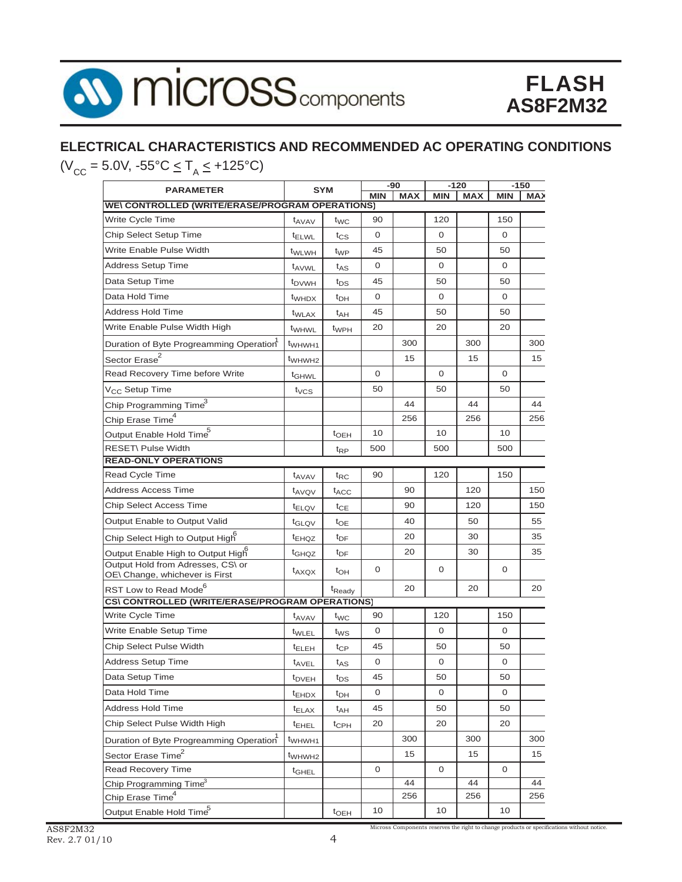

# **ELECTRICAL CHARACTERISTICS AND RECOMMENDED AC OPERATING CONDITIONS**

 $(V_{CC} = 5.0V, -55^{\circ}C \le T_A \le +125^{\circ}C)$ 

| <b>PARAMETER</b>                                                    |                          | <b>SYM</b>         |              | $-90$      |              | $-120$     |              | $-150$     |
|---------------------------------------------------------------------|--------------------------|--------------------|--------------|------------|--------------|------------|--------------|------------|
| <b>WE\ CONTROLLED (WRITE/ERASE/PROGRAM OPERATIONS)</b>              |                          |                    | <b>MIN</b>   | <b>MAX</b> | <b>MIN</b>   | <b>MAX</b> | <b>MIN</b>   | <b>MAX</b> |
| Write Cycle Time                                                    | t <sub>AVAV</sub>        | t <sub>WC</sub>    | 90           |            | 120          |            | 150          |            |
| Chip Select Setup Time                                              | <sup>t</sup> ELWL        | $t_{CS}$           | 0            |            | 0            |            | 0            |            |
| Write Enable Pulse Width                                            | t <sub>WLWH</sub>        | t <sub>WP</sub>    | 45           |            | 50           |            | 50           |            |
| <b>Address Setup Time</b>                                           |                          |                    | 0            |            | $\mathbf{O}$ |            | $\mathbf 0$  |            |
| Data Setup Time                                                     | t <sub>AVWL</sub>        | t <sub>AS</sub>    | 45           |            | 50           |            | 50           |            |
|                                                                     | <b>t</b> <sub>DVWH</sub> | t <sub>DS</sub>    |              |            |              |            |              |            |
| Data Hold Time                                                      | t <sub>WHDX</sub>        | $t_{DH}$           | 0            |            | 0            |            | 0            |            |
| <b>Address Hold Time</b>                                            | t <sub>WLAX</sub>        | $t_{AH}$           | 45           |            | 50           |            | 50           |            |
| Write Enable Pulse Width High                                       | t <sub>WHWL</sub>        | $t_{WPH}$          | 20           |            | 20           |            | 20           |            |
| Duration of Byte Progreamming Operation                             | t <sub>WHWH1</sub>       |                    |              | 300        |              | 300        |              | 300        |
| Sector Erase <sup>2</sup>                                           | t <sub>WHWH2</sub>       |                    |              | 15         |              | 15         |              | 15         |
| Read Recovery Time before Write                                     | <sup>t</sup> GHWL        |                    | 0            |            | $\mathbf{O}$ |            | 0            |            |
| V <sub>CC</sub> Setup Time                                          | $t_{VCS}$                |                    | 50           |            | 50           |            | 50           |            |
| Chip Programming Time <sup>3</sup>                                  |                          |                    |              | 44         |              | 44         |              | 44         |
| Chip Erase Time <sup>4</sup>                                        |                          |                    |              | 256        |              | 256        |              | 256        |
| Output Enable Hold Time <sup>5</sup>                                |                          | $t$ <sub>OEH</sub> | 10           |            | 10           |            | 10           |            |
| RESET\ Pulse Width                                                  |                          | $t_{RP}$           | 500          |            | 500          |            | 500          |            |
| <b>READ-ONLY OPERATIONS</b>                                         |                          |                    |              |            |              |            |              |            |
| Read Cycle Time                                                     | <sup>t</sup> AVAV        | $t_{RC}$           | 90           |            | 120          |            | 150          |            |
| Address Access Time                                                 | t <sub>AVQV</sub>        | $t_{\mathsf{ACC}}$ |              | 90         |              | 120        |              | 150        |
| <b>Chip Select Access Time</b>                                      | <sup>t</sup> ELQV        | $t_{CE}$           |              | 90         |              | 120        |              | 150        |
| Output Enable to Output Valid                                       | t <sub>GLQV</sub>        | $t_{OE}$           |              | 40         |              | 50         |              | 55         |
| Chip Select High to Output High                                     | <sup>t</sup> EHQZ        | t <sub>DF</sub>    |              | 20         |              | 30         |              | 35         |
| Output Enable High to Output High                                   | t <sub>GHQZ</sub>        | t <sub>DF</sub>    |              | 20         |              | 30         |              | 35         |
| Output Hold from Adresses, CS\ or<br>OE\ Change, whichever is First | $t_{AXQX}$               | $t_{OH}$           | $\mathbf{0}$ |            | $\mathbf{O}$ |            | $\mathbf{0}$ |            |
| RST Low to Read Mode <sup>6</sup>                                   |                          | t <sub>Ready</sub> |              | 20         |              | 20         |              | 20         |
| CS\CONTROLLED (WRITE/ERASE/PROGRAM OPERATIONS)                      |                          |                    |              |            |              |            |              |            |
| Write Cycle Time                                                    | t <sub>AVAV</sub>        | t <sub>WC</sub>    | 90           |            | 120          |            | 150          |            |
| Write Enable Setup Time                                             | t <sub>WLEL</sub>        | t <sub>WS</sub>    | 0            |            | 0            |            | 0            |            |
| Chip Select Pulse Width                                             | <sup>t</sup> ELEH        | $t_{CP}$           | 45           |            | 50           |            | 50           |            |
| <b>Address Setup Time</b>                                           | t <sub>AVEL</sub>        | $t_{AS}$           | 0            |            | $\mathbf{O}$ |            | 0            |            |
| Data Setup Time                                                     | t <sub>DVEH</sub>        | $t_{DS}$           | 45           |            | 50           |            | 50           |            |
| Data Hold Time                                                      | $t_{EHDX}$               | t <sub>DH</sub>    | 0            |            | 0            |            | 0            |            |
| <b>Address Hold Time</b>                                            | $t_{\text{ELAX}}$        | t <sub>AH</sub>    | 45           |            | 50           |            | 50           |            |
| Chip Select Pulse Width High                                        | <sup>t</sup> EHEL        | $t_{\rm CPH}$      | 20           |            | 20           |            | 20           |            |
| Duration of Byte Progreamming Operation                             | t <sub>WHWH1</sub>       |                    |              | 300        |              | 300        |              | 300        |
| Sector Erase Time <sup>2</sup>                                      | t <sub>WHWH2</sub>       |                    |              | 15         |              | 15         |              | 15         |
| <b>Read Recovery Time</b>                                           | <sup>t</sup> GHEL        |                    | 0            |            | 0            |            | 0            |            |
| Chip Programming Time <sup>3</sup>                                  |                          |                    |              | 44         |              | 44         |              | 44         |
| Chip Erase Time <sup>4</sup>                                        |                          |                    |              | 256        |              | 256        |              | 256        |
| Output Enable Hold Time <sup>5</sup>                                |                          | $t$ <sub>OEH</sub> | 10           |            | 10           |            | 10           |            |

Micross Components reserves the right to change products or specifications without notice.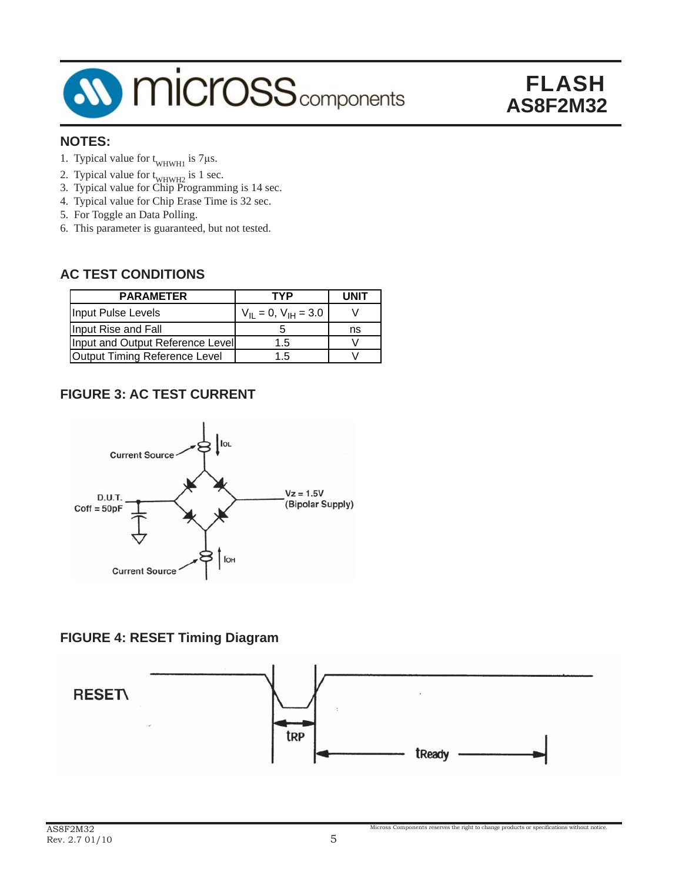

#### **NOTES:**

- 1. Typical value for  $t_{WHWH1}$  is 7µs.
- 2. Typical value for  $t_{WHWH2}$  is 1 sec.
- 3. Typical value for Chip Programming is 14 sec.
- 4. Typical value for Chip Erase Time is 32 sec.
- 5. For Toggle an Data Polling.
- 6. This parameter is guaranteed, but not tested.

#### **AC TEST CONDITIONS**

| <b>PARAMETER</b>                 | TYP                           | <b>UNIT</b> |
|----------------------------------|-------------------------------|-------------|
| Input Pulse Levels               | $V_{II} = 0$ , $V_{IH} = 3.0$ |             |
| Input Rise and Fall              |                               | ns          |
| Input and Output Reference Level | 1.5                           |             |
| Output Timing Reference Level    | 15                            |             |

#### **FIGURE 3: AC TEST CURRENT**



#### **FIGURE 4: RESET Timing Diagram**



Micross Components reserves the right to change products or specifications without notice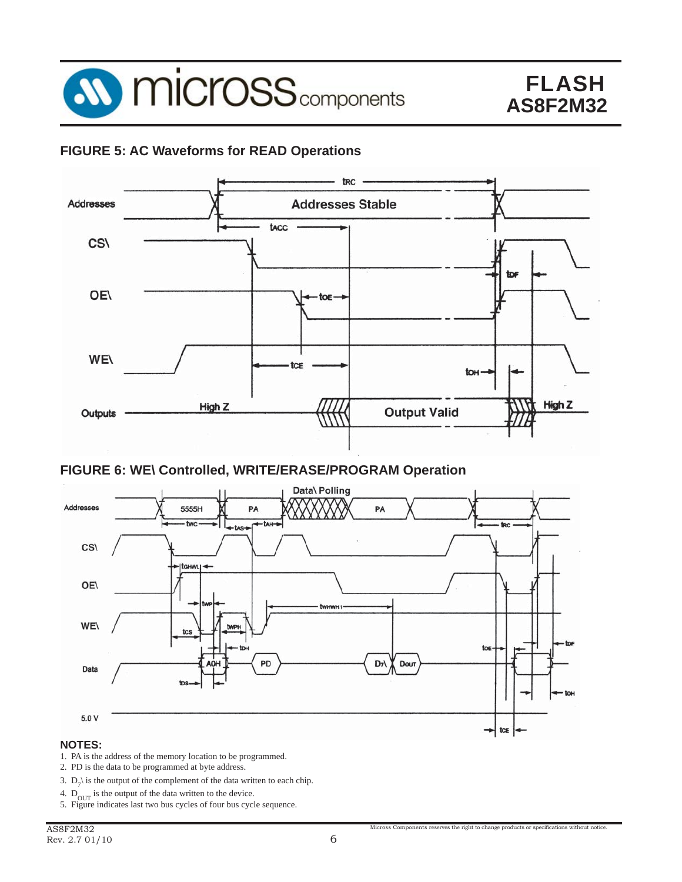

#### **FIGURE 5: AC Waveforms for READ Operations**



#### **FIGURE 6: WE\ Controlled, WRITE/ERASE/PROGRAM Operation**



#### **NOTES:**

- 1. PA is the address of the memory location to be programmed.
- 2. PD is the data to be programmed at byte address.
- 3.  $D_7$  is the output of the complement of the data written to each chip.
- 4.  $D_{\text{OUT}}$  is the output of the data written to the device.
- 5. Figure indicates last two bus cycles of four bus cycle sequence.

Micross Components reserves the right to change products or specifications without notice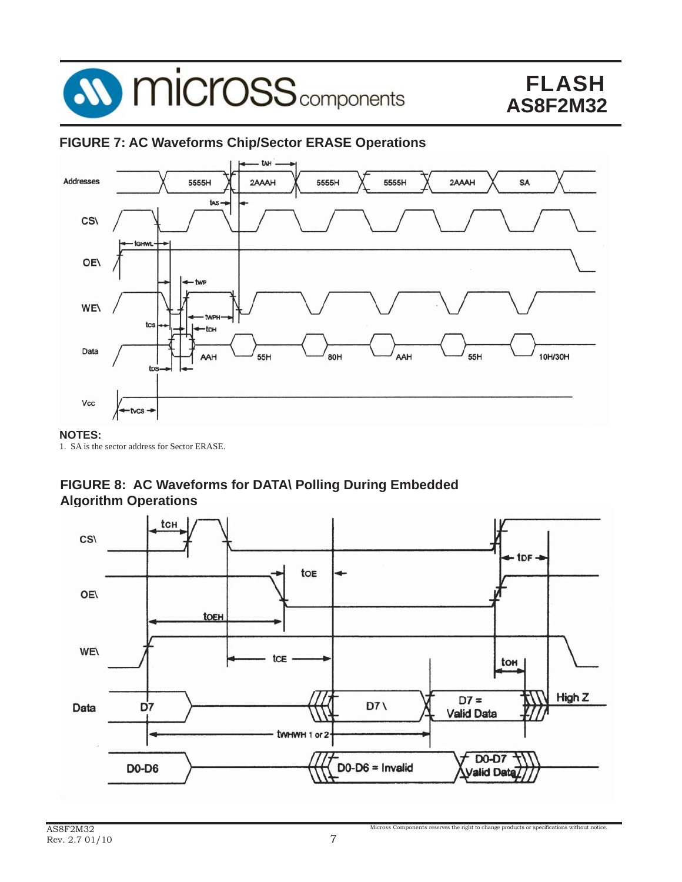

#### **FIGURE 7: AC Waveforms Chip/Sector ERASE Operations**



#### **NOTES:**

1. SA is the sector address for Sector ERASE.

#### **FIGURE 8: AC Waveforms for DATA\ Polling During Embedded Algorithm Operations**

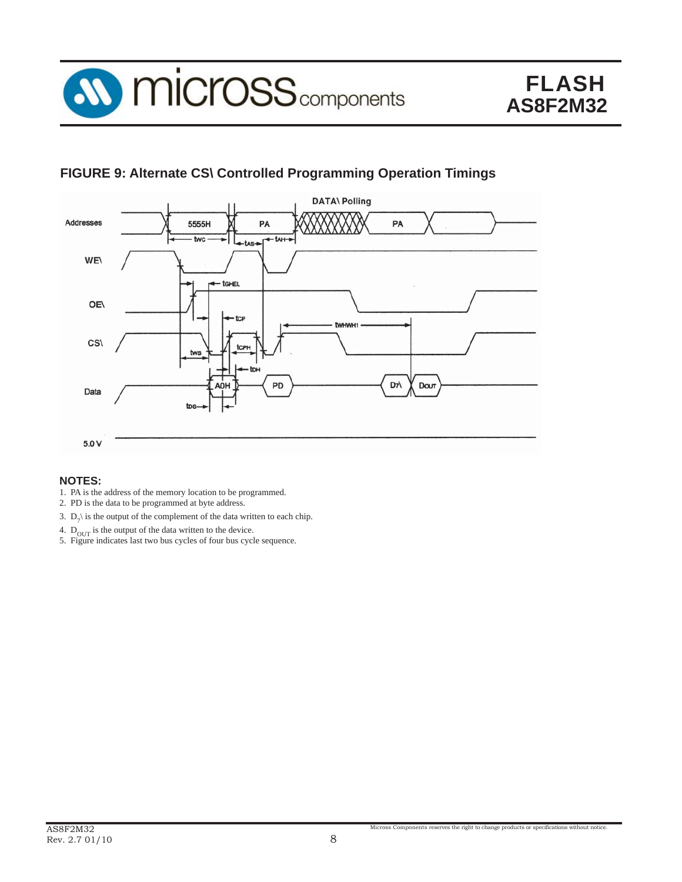

#### **FIGURE 9: Alternate CS\ Controlled Programming Operation Timings**



#### **NOTES:**

- 1. PA is the address of the memory location to be programmed.
- 2. PD is the data to be programmed at byte address.
- 3.  $D_7$  is the output of the complement of the data written to each chip.
- 4.  $D_{\text{OUT}}$  is the output of the data written to the device.
- 5. Figure indicates last two bus cycles of four bus cycle sequence.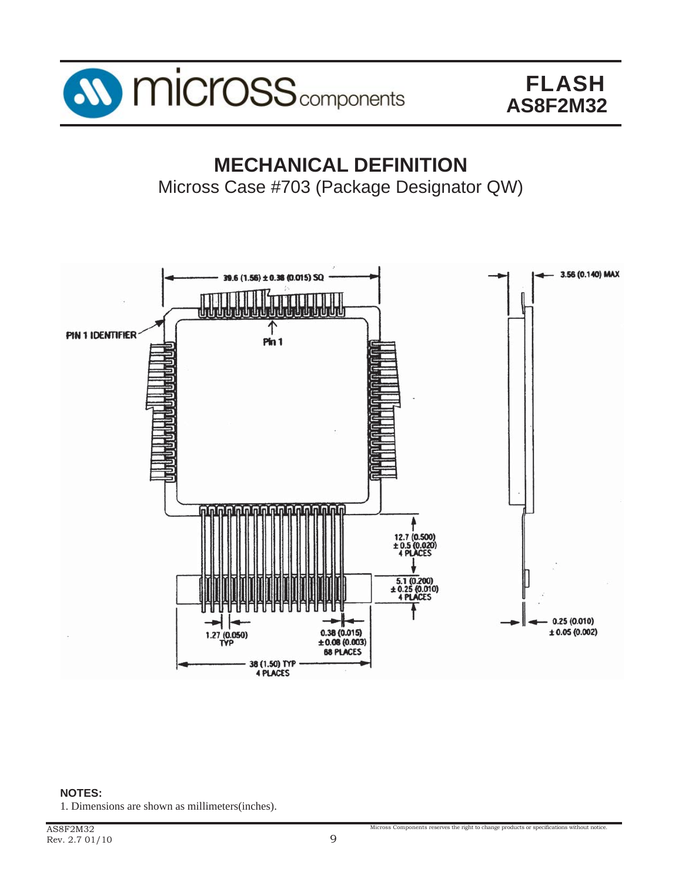

### **MECHANICAL DEFINITION** Micross Case #703 (Package Designator QW)



**NOTES:** 1. Dimensions are shown as millimeters(inches).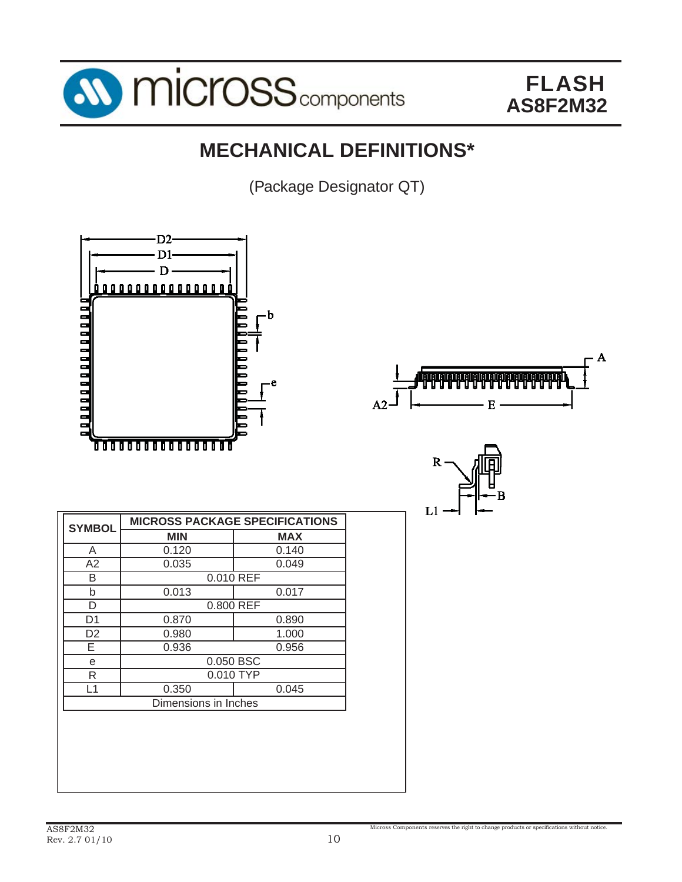

# **MECHANICAL DEFINITIONS\***

(Package Designator QT)



Micross Components reserves the right to change products or specifications without notice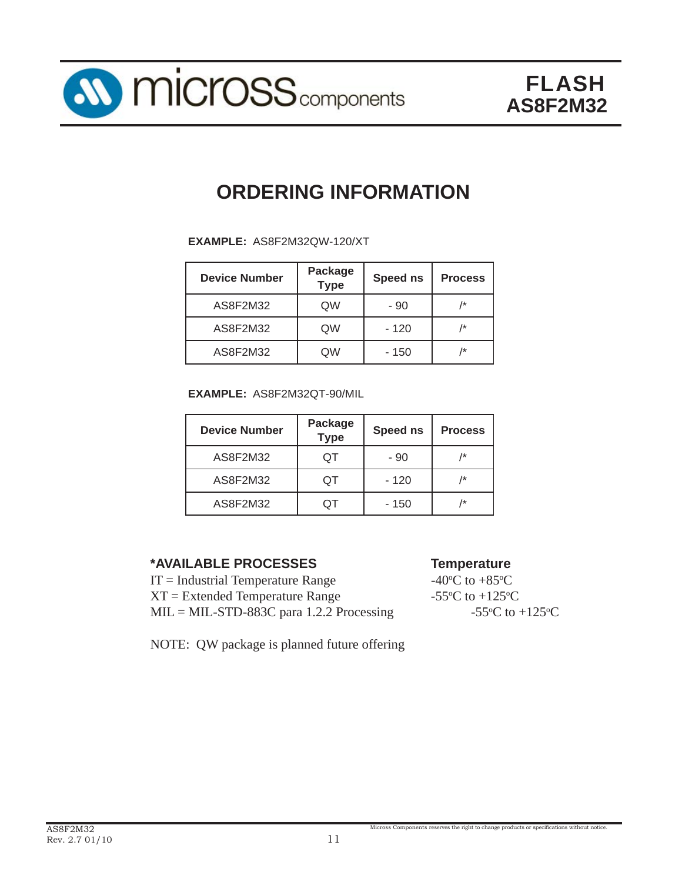

# **ORDERING INFORMATION**

**EXAMPLE:** AS8F2M32QW-120/XT

| <b>Device Number</b> | <b>Package</b><br><b>Type</b> | <b>Speed ns</b> | <b>Process</b> |
|----------------------|-------------------------------|-----------------|----------------|
| AS8F2M32             | QW                            | - 90            | /*             |
| AS8F2M32             | QW                            | - 120           | /*             |
| AS8F2M32             | QW                            | - 150           | /*             |

**EXAMPLE:** AS8F2M32QT-90/MIL

| <b>Device Number</b> | Package<br><b>Type</b> | <b>Speed ns</b> | <b>Process</b> |
|----------------------|------------------------|-----------------|----------------|
| AS8F2M32             | TC)                    | - 90            | /*             |
| AS8F2M32             | TC)                    | - 120           | /*             |
| AS8F2M32             |                        | - 150           | /*             |

#### **\*AVAILABLE PROCESSES Temperature**

 $IT = Industrial Temperature Range$  $XT = Extended Temperature Range$  $MIL = MIL-STD-883C$  para 1.2.2 Processing

NOTE: QW package is planned future offering

C to  $+85^{\circ}$ C C to  $+125$ <sup>o</sup>C C to  $+125$ <sup>o</sup>C

Micross Components reserves the right to change products or specifications without notice.